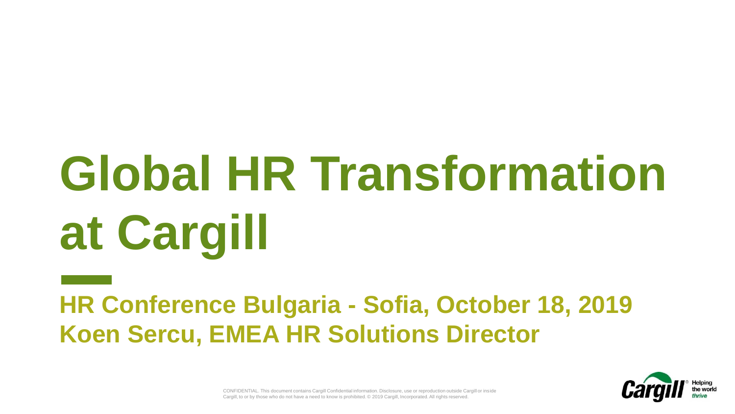# **Global HR Transformation at Cargill**

**HR Conference Bulgaria - Sofia, October 18, 2019 Koen Sercu, EMEA HR Solutions Director**

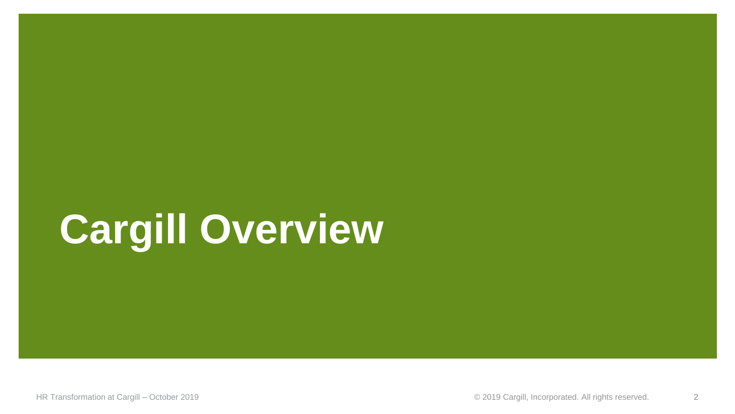## **Cargill Overview**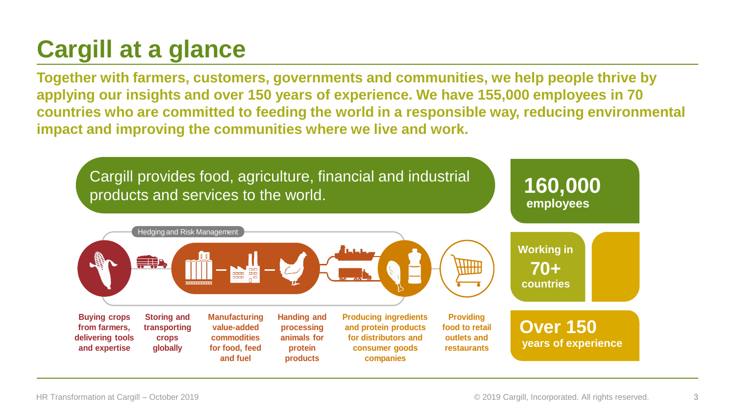### **Cargill at a glance**

**Together with farmers, customers, governments and communities, we help people thrive by applying our insights and over 150 years of experience. We have 155,000 employees in 70 countries who are committed to feeding the world in a responsible way, reducing environmental impact and improving the communities where we live and work.**



3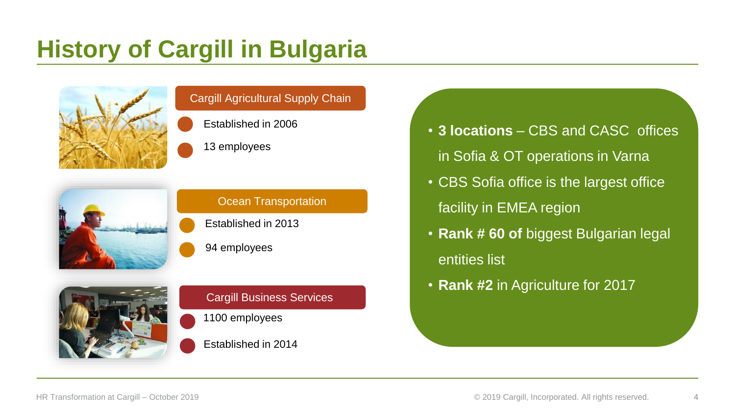## **History of Cargill in Bulgaria**



#### Cargill Agricultural Supply Chain

Established in 2006



#### 13 employees

#### Ocean Transportation

Established in 2013

94 employees





#### Established in 2014

#### • **3 locations** – CBS and CASC offices in Sofia & OT operations in Varna

- CBS Sofia office is the largest office facility in EMEA region
- **Rank # 60 of** biggest Bulgarian legal entities list
- **Rank #2** in Agriculture for 2017

4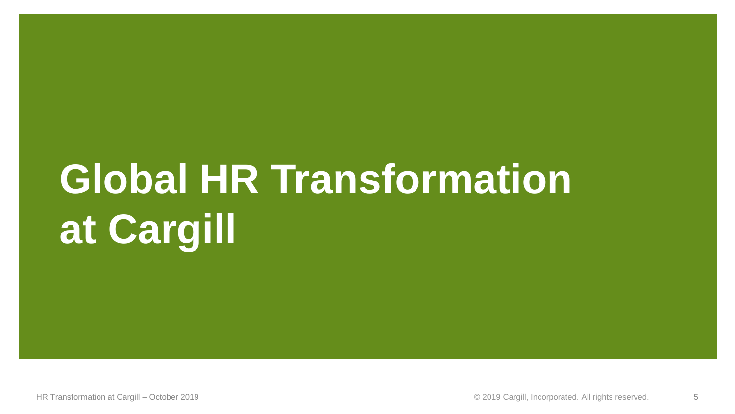## **Global HR Transformation at Cargill**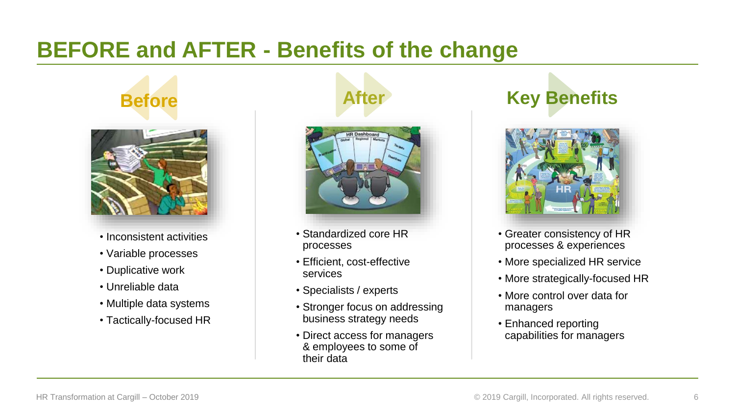#### **BEFORE and AFTER - Benefits of the change**





- Inconsistent activities
- Variable processes
- Duplicative work
- Unreliable data
- Multiple data systems
- Tactically-focused HR



- Standardized core HR processes
- Efficient, cost-effective services
- Specialists / experts
- Stronger focus on addressing business strategy needs
- Direct access for managers & employees to some of their data

#### **Key Benefits**



- Greater consistency of HR processes & experiences
- More specialized HR service
- More strategically-focused HR
- More control over data for managers
- Enhanced reporting capabilities for managers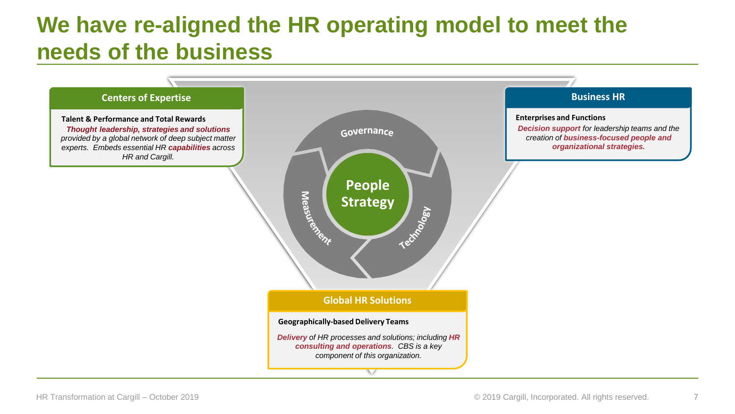### **We have re-aligned the HR operating model to meet the needs of the business**



7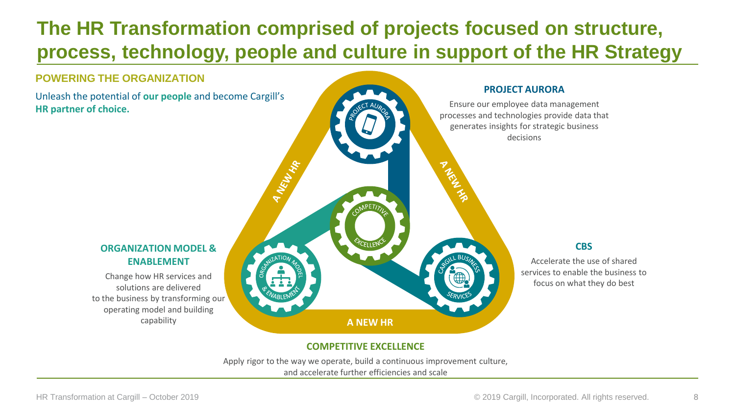#### **The HR Transformation comprised of projects focused on structure, process, technology, people and culture in support of the HR Strategy**

#### **POWERING THE ORGANIZATION PROJECT AURORA** Unleash the potential of **our people** and become Cargill's **HR partner of choice.** decisions A New York **THEIR HA ORGANIZATION MODEL & ENABLEMENT** Change how HR services and solutions are delivered to the business by transforming our operating model and building capability **A NEW HR**

Ensure our employee data management processes and technologies provide data that generates insights for strategic business

**CBS**

Accelerate the use of shared services to enable the business to focus on what they do best

#### **COMPETITIVE EXCELLENCE**

Apply rigor to the way we operate, build a continuous improvement culture, and accelerate further efficiencies and scale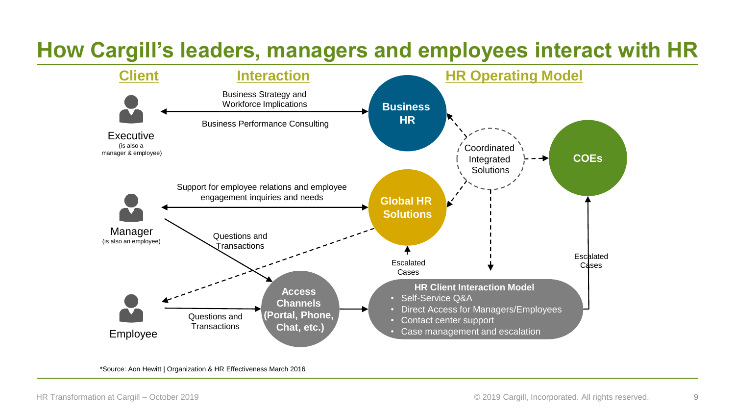#### **How Cargill's leaders, managers and employees interact with HR**



\*Source: Aon Hewitt | Organization & HR Effectiveness March 2016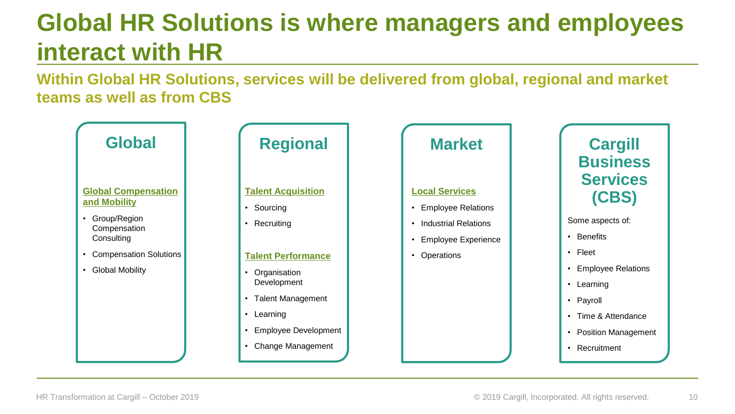## **Global HR Solutions is where managers and employees interact with HR**

**Within Global HR Solutions, services will be delivered from global, regional and market teams as well as from CBS**

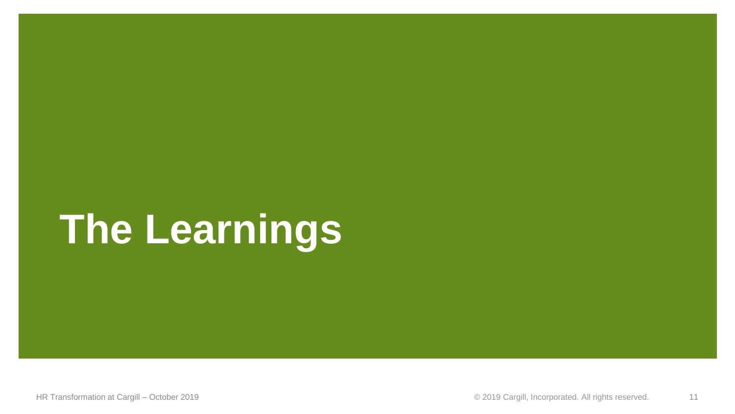## **The Learnings**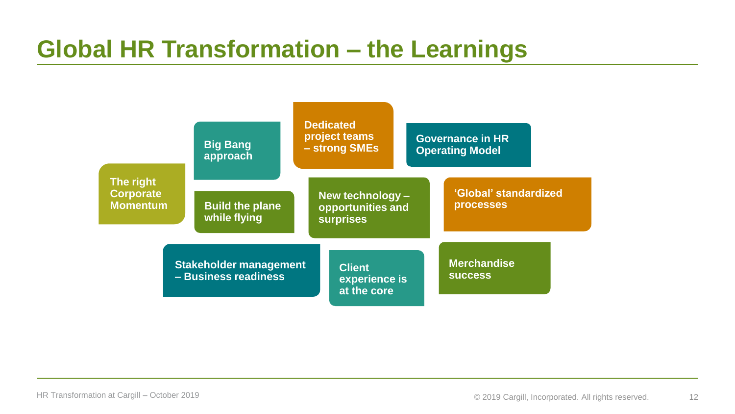### **Global HR Transformation – the Learnings**

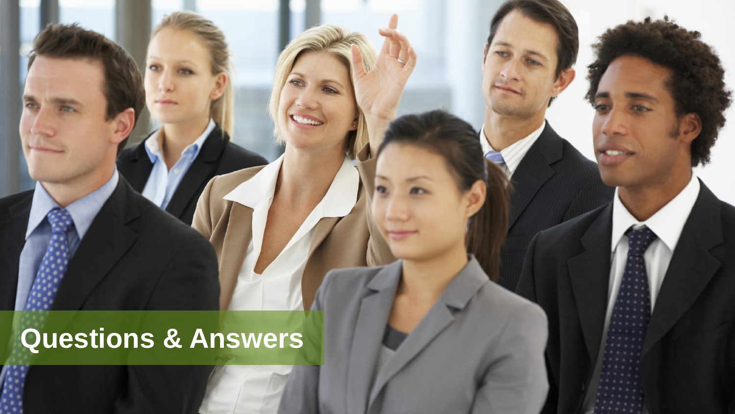## **Questions & Answers**

© 2019 Cargill, Incorporated. All rights reserved.